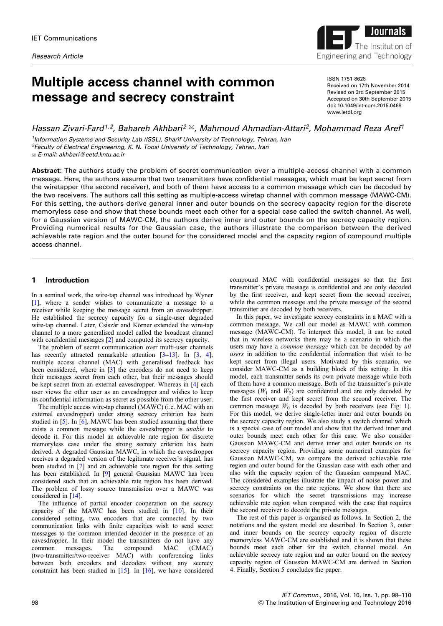# Multiple access channel with common message and secrecy constraint

ISSN 1751-8628 Received on 17th November 2014 Revised on 3rd September 2015 Accepted on 30th September 2015 doi: 10.1049/iet-com.2015.0468 www.ietdl.org

Engineering and Technology

**Journals** The Institution of

Hassan Zivari-Fard<sup>1,2</sup>, Bahareh Akhbari<sup>2  $\boxtimes$ </sup>, Mahmoud Ahmadian-Attari<sup>2</sup>, Mohammad Reza Aref<sup>1</sup>

<sup>1</sup>Information Systems and Security Lab (ISSL), Sharif University of Technology, Tehran, Iran <sup>2</sup>Faculty of Electrical Engineering, K. N. Toosi University of Technology, Tehran, Iran ✉ E-mail: akhbari@eetd.kntu.ac.ir

Abstract: The authors study the problem of secret communication over a multiple-access channel with a common message. Here, the authors assume that two transmitters have confidential messages, which must be kept secret from the wiretapper (the second receiver), and both of them have access to a common message which can be decoded by the two receivers. The authors call this setting as multiple-access wiretap channel with common message (MAWC-CM). For this setting, the authors derive general inner and outer bounds on the secrecy capacity region for the discrete memoryless case and show that these bounds meet each other for a special case called the switch channel. As well, for a Gaussian version of MAWC-CM, the authors derive inner and outer bounds on the secrecy capacity region. Providing numerical results for the Gaussian case, the authors illustrate the comparison between the derived achievable rate region and the outer bound for the considered model and the capacity region of compound multiple access channel.

## 1 Introduction

In a seminal work, the wire-tap channel was introduced by Wyner [1], where a sender wishes to communicate a message to a receiver while keeping the message secret from an eavesdropper. He established the secrecy capacity for a single-user degraded wire-tap channel. Later, Csiszár and Körner extended the wire-tap channel to a more generalised model called the broadcast channel with confidential messages [2] and computed its secrecy capacity.

The problem of secret communication over multi-user channels has recently attracted remarkable attention [3–13]. In [3, 4], multiple access channel (MAC) with generalised feedback has been considered, where in [3] the encoders do not need to keep their messages secret from each other, but their messages should be kept secret from an external eavesdropper. Whereas in [4] each user views the other user as an eavesdropper and wishes to keep its confidential information as secret as possible from the other user.

The multiple access wire-tap channel (MAWC) (i.e. MAC with an external eavesdropper) under strong secrecy criterion has been studied in [5]. In [6], MAWC has been studied assuming that there exists a common message while the eavesdropper is unable to decode it. For this model an achievable rate region for discrete memoryless case under the strong secrecy criterion has been derived. A degraded Gaussian MAWC, in which the eavesdropper receives a degraded version of the legitimate receiver's signal, has been studied in [7] and an achievable rate region for this setting has been established. In [9] general Gaussian MAWC has been considered such that an achievable rate region has been derived. The problem of lossy source transmission over a MAWC was considered in [14].

The influence of partial encoder cooperation on the secrecy capacity of the MAWC has been studied in [10]. In their considered setting, two encoders that are connected by two communication links with finite capacities wish to send secret messages to the common intended decoder in the presence of an eavesdropper. In their model the transmitters do not have any common messages. The compound MAC (CMAC) (two-transmitter/two-receiver MAC) with conferencing links between both encoders and decoders without any secrecy constraint has been studied in [15]. In [16], we have considered compound MAC with confidential messages so that the first transmitter's private message is confidential and are only decoded by the first receiver, and kept secret from the second receiver, while the common message and the private message of the second transmitter are decoded by both receivers.

In this paper, we investigate secrecy constraints in a MAC with a common message. We call our model as MAWC with common message (MAWC-CM). To interpret this model, it can be noted that in wireless networks there may be a scenario in which the users may have a *common message* which can be decoded by all users in addition to the confidential information that wish to be kept secret from illegal users. Motivated by this scenario, we consider MAWC-CM as a building block of this setting. In this model, each transmitter sends its own private message while both of them have a common message. Both of the transmitter's private messages ( $W_1$  and  $W_2$ ) are confidential and are only decoded by the first receiver and kept secret from the second receiver. The common message  $W_0$  is decoded by both receivers (see Fig. 1). For this model, we derive single-letter inner and outer bounds on the secrecy capacity region. We also study a switch channel which is a special case of our model and show that the derived inner and outer bounds meet each other for this case. We also consider Gaussian MAWC-CM and derive inner and outer bounds on its secrecy capacity region. Providing some numerical examples for Gaussian MAWC-CM, we compare the derived achievable rate region and outer bound for the Gaussian case with each other and also with the capacity region of the Gaussian compound MAC. The considered examples illustrate the impact of noise power and secrecy constraints on the rate regions. We show that there are scenarios for which the secret transmissions may increase achievable rate region when compared with the case that requires the second receiver to decode the private messages.

The rest of this paper is organised as follows. In Section 2, the notations and the system model are described. In Section 3, outer and inner bounds on the secrecy capacity region of discrete memoryless MAWC-CM are established and it is shown that these bounds meet each other for the switch channel model. An achievable secrecy rate region and an outer bound on the secrecy capacity region of Gaussian MAWC-CM are derived in Section 4. Finally, Section 5 concludes the paper.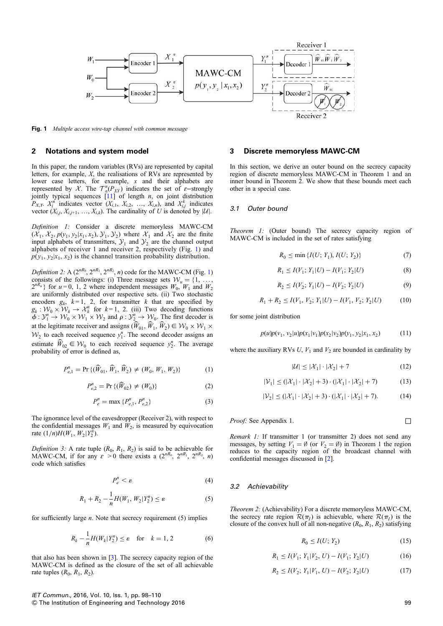

Fig. 1 Multiple access wire-tap channel with common message

## 2 Notations and system model

In this paper, the random variables (RVs) are represented by capital letters, for example, X, the realisations of RVs are represented by lower case letters, for example, x and their alphabets are represented by X. The  $\mathcal{T}_{\varepsilon}^{n}(P_{XY})$  indicates the set of  $\varepsilon$ -strongly jointly typical sequences  $[11]$  of length *n*, on joint distribution  $P_{X,Y}$ ,  $X_i^n$  indicates vector  $(X_{i,1}, X_{i,2}, \ldots, X_{i,n})$ , and  $X_{i,j}^k$  indicates vector  $(X_{i,j}, X_{i,j+1}, ..., X_{i,k})$ . The cardinality of U is denoted by |U|.

Definition 1: Consider a discrete memoryless MAWC-CM  $(\mathcal{X}_1, \mathcal{X}_2, p(y_1, y_2 | x_1, x_2), \mathcal{Y}_1, \mathcal{Y}_2)$  where  $\mathcal{X}_1$  and  $\mathcal{X}_2$  are the finite input alphabets of transmitters,  $\mathcal{Y}_1$  and  $\mathcal{Y}_2$  are the channel output alphabets of receiver 1 and receiver 2, respectively (Fig. 1) and  $p(y_1, y_2|x_1, x_2)$  is the channel transition probability distribution.

*Definition 2:* A ( $2^{nR_0}$ ,  $2^{nR_1}$ ,  $2^{nR_2}$ , *n*) code for the MAWC-CM (Fig. 1) consists of the followings: (i) Three message sets  $W_u = \{1, \ldots,$  $2^{nR_u}$ } for  $u = 0, 1, 2$  where independent messages  $W_0$ ,  $W_1$  and  $W_2$ are uniformly distributed over respective sets. (ii) Two stochastic encoders  $g_k$ ,  $k = 1$ , 2, for transmitter k that are specified by  $g_k: \mathcal{W}_0 \times \mathcal{W}_k \to \mathcal{X}_k^n$  for  $k=1, 2$ . (iii) Two decoding functions  $\phi: \mathcal{Y}_1^n \to \mathcal{W}_0^\circ \times \mathcal{W}_1^\circ \times \mathcal{W}_2$  and  $\rho: \mathcal{Y}_2^n \to \mathcal{W}_0$ . The first decoder is at the legitimate receiver and assigns  $(\overline{W}_{01}, \overline{W}_1, \overline{W}_2) \in W_0 \times W_1 \times$  $W_2$  to each received sequence  $y_1^n$ . The second decoder assigns an estimate  $\widehat{W}_{02} \in W_0$  to each received sequence  $y_2^n$ . The average probability of error is defined as,

$$
P_{e,1}^{n} = \Pr\{(\widehat{W}_{01}, \widehat{W}_1, \widehat{W}_2) \neq (W_0, W_1, W_2)\}\
$$
 (1)

$$
P_{e,2}^{n} = \Pr\{(\widehat{W}_{02}) \neq (W_{0})\}
$$
 (2)

$$
P_e^n = \max \{ P_{e,1}^n, P_{e,2}^n \}
$$
 (3)

The ignorance level of the eavesdropper (Receiver 2), with respect to the confidential messages  $W_1$  and  $W_2$ , is measured by equivocation rate  $(1/n)H(W_1, W_2|Y_2^n)$ .

*Definition* 3: A rate tuple  $(R_0, R_1, R_2)$  is said to be achievable for MAWC-CM, if for any  $\varepsilon > 0$  there exists a  $(2^{nR_0}, 2^{nR_1}, 2^{nR_2}, n)$ code which satisfies

$$
P_e^n < \varepsilon \tag{4}
$$

$$
R_1 + R_2 - \frac{1}{n}H(W_1, W_2|Y_2^n) \le \varepsilon
$$
\n<sup>(5)</sup>

for sufficiently large  $n$ . Note that secrecy requirement (5) implies

$$
R_k - \frac{1}{n}H(W_k|Y_2^n) \le \varepsilon \quad \text{for} \quad k = 1, 2 \tag{6}
$$

that also has been shown in [3]. The secrecy capacity region of the MAWC-CM is defined as the closure of the set of all achievable rate tuples  $(R_0, R_1, R_2)$ .

## 3 Discrete memoryless MAWC-CM

In this section, we derive an outer bound on the secrecy capacity region of discrete memoryless MAWC-CM in Theorem 1 and an inner bound in Theorem 2. We show that these bounds meet each other in a special case.

## 3.1 Outer bound

Theorem 1: (Outer bound) The secrecy capacity region of MAWC-CM is included in the set of rates satisfying

$$
R_0 \le \min \{ I(U; Y_1), I(U; Y_2) \} \tag{7}
$$

$$
R_1 \le I(V_1; Y_1 | U) - I(V_1; Y_2 | U)
$$
\n(8)

$$
R_2 \le I(V_2; Y_1 | U) - I(V_2; Y_2 | U)
$$
\n(9)

$$
R_1 + R_2 \le I(V_1, V_2; Y_1 | U) - I(V_1, V_2; Y_2 | U)
$$
 (10)

for some joint distribution

$$
p(u)p(v_1, v_2|u)p(x_1|v_1)p(x_2|v_2)p(y_1, y_2|x_1, x_2)
$$
 (11)

where the auxiliary RVs  $U, V_1$  and  $V_2$  are bounded in cardinality by

$$
|\mathcal{U}| \le |\mathcal{X}_1| \cdot |\mathcal{X}_2| + 7 \tag{12}
$$

$$
|\mathcal{V}_1| \le (|\mathcal{X}_1| \cdot |\mathcal{X}_2| + 3) \cdot (|\mathcal{X}_1| \cdot |\mathcal{X}_2| + 7) \tag{13}
$$

$$
|\mathcal{V}_2| \le (|\mathcal{X}_1| \cdot |\mathcal{X}_2| + 3) \cdot (|\mathcal{X}_1| \cdot |\mathcal{X}_2| + 7). \tag{14}
$$

Proof: See Appendix 1. □

Remark 1: If transmitter 1 (or transmitter 2) does not send any messages, by setting  $V_1 = \emptyset$  (or  $V_2 = \emptyset$ ) in Theorem 1 the region reduces to the capacity region of the broadcast channel with confidential messages discussed in [2].

## 3.2 Achievability

Theorem 2: (Achievability) For a discrete memoryless MAWC-CM, the secrecy rate region  $\mathcal{R}(\pi)$  is achievable, where  $\mathcal{R}(\pi)$  is the closure of the convex hull of all non-negative  $(R_0, R_1, R_2)$  satisfying

$$
R_0 \le I(U; Y_2) \tag{15}
$$

$$
R_1 \le I(V_1; Y_1 | V_2, U) - I(V_1; Y_2 | U)
$$
\n(16)

$$
R_2 \le I(V_2; Y_1 | V_1, U) - I(V_2; Y_2 | U)
$$
\n<sup>(17)</sup>

IET Commun., 2016, Vol. 10, Iss. 1, pp. 98–110 & The Institution of Engineering and Technology 2016 99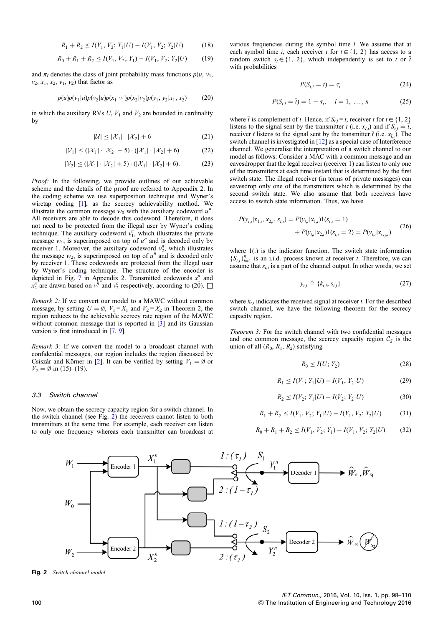$$
R_1 + R_2 \le I(V_1, V_2; Y_1 | U) - I(V_1, V_2; Y_2 | U)
$$
 (18)

$$
R_0 + R_1 + R_2 \le I(V_1, V_2; Y_1) - I(V_1, V_2; Y_2 | U)
$$
 (19)

and  $\pi_l$  denotes the class of joint probability mass functions  $p(u, v_1, v_2)$  $v_2, x_1, x_2, y_1, y_2)$  that factor as

$$
p(u)p(v_1|u)p(v_2|u)p(x_1|v_1)p(x_2|v_2)p(y_1, y_2|x_1, x_2)
$$
 (20)

in which the auxiliary RVs  $U, V_1$  and  $V_2$  are bounded in cardinality by

$$
|\mathcal{U}| \le |\mathcal{X}_1| \cdot |\mathcal{X}_2| + 6 \tag{21}
$$

 $|\mathcal{V}_1| \leq (|\mathcal{X}_1| \cdot |\mathcal{X}_2| + 5) \cdot (|\mathcal{X}_1| \cdot |\mathcal{X}_2| + 6)$  (22)

$$
|\mathcal{V}_2| \le (|\mathcal{X}_1| \cdot |\mathcal{X}_2| + 5) \cdot (|\mathcal{X}_1| \cdot |\mathcal{X}_2| + 6). \tag{23}
$$

Proof: In the following, we provide outlines of our achievable scheme and the details of the proof are referred to Appendix 2. In the coding scheme we use superposition technique and Wyner's wiretap coding [1], as the secrecy achievability method. We illustrate the common message  $w_0$  with the auxiliary codeword  $u^n$ . All receivers are able to decode this codeword. Therefore, it does not need to be protected from the illegal user by Wyner's coding technique. The auxiliary codeword  $v_1^n$ , which illustrates the private message  $w_1$ , is superimposed on top of  $u^n$  and is decoded only by receiver 1. Moreover, the auxiliary codeword  $v_2^n$ , which illustrates the message  $w_2$ , is superimposed on top of  $u^n$  and is decoded only by receiver 1. These codewords are protected from the illegal user by Wyner's coding technique. The structure of the encoder is depicted in Fig. 7 in Appendix 2. Transmitted codewords  $x_1^n$  and  $x_2^n$  are drawn based on  $v_1^n$  and  $v_2^n$  respectively, according to (20).  $\Box$ 

Remark 2: If we convert our model to a MAWC without common message, by setting  $U = \emptyset$ ,  $V_1 = X_1$  and  $V_2 = X_2$  in Theorem 2, the region reduces to the achievable secrecy rate region of the MAWC without common message that is reported in [3] and its Gaussian version is first introduced in [7, 9].

Remark 3: If we convert the model to a broadcast channel with confidential messages, our region includes the region discussed by Csiszár and Körner in [2]. It can be verified by setting  $V_1 = \emptyset$  or  $V_2 = \emptyset$  in (15)–(19).

## 3.3 Switch channel

Now, we obtain the secrecy capacity region for a switch channel. In the switch channel (see Fig. 2) the receivers cannot listen to both transmitters at the same time. For example, each receiver can listen to only one frequency whereas each transmitter can broadcast at

various frequencies during the symbol time i. We assume that at each symbol time i, each receiver t for  $t \in \{1, 2\}$  has access to a random switch  $s_t \in \{1, 2\}$ , which independently is set to t or  $\bar{t}$ with probabilities

$$
P(S_{t,i} = t) = \tau_t \tag{24}
$$

$$
P(S_{t,i} = \bar{t}) = 1 - \tau_t, \quad i = 1, \dots, n \tag{25}
$$

where  $\bar{t}$  is complement of t. Hence, if  $S_{t,i} = t$ , receiver t for  $t \in \{1, 2\}$ listens to the signal sent by the transmitter t (i.e.  $x_{t,i}$ ) and if  $S_{t,i} = \overline{t}$ , receiver t listens to the signal sent by the transmitter  $\bar{t}$  (i.e.  $x_{\bar{t},i}$ ). The switch channel is investigated in [12] as a special case of Interference channel. We generalise the interpretation of a switch channel to our model as follows: Consider a MAC with a common message and an eavesdropper that the legal receiver (receiver 1) can listen to only one of the transmitters at each time instant that is determined by the first switch state. The illegal receiver (in terms of private messages) can eavesdrop only one of the transmitters which is determined by the second switch state. We also assume that both receivers have access to switch state information. Thus, we have

$$
P(y_{t,i}|x_{1,i}, x_{2,i}, s_{t,i}) = P(y_{t,i}|x_{1,i})1(s_{t,i} = 1) + P(y_{t,i}|x_{2,i})1(s_{t,i} = 2) = P(y_{t,i}|x_{s_{t,i},i})
$$
(26)

where 1(.) is the indicator function. The switch state information  ${S_{t,i}}_{i=1}^n$  is an i.i.d. process known at receiver t. Therefore, we can assume that  $s_{t,i}$  is a part of the channel output. In other words, we set

$$
y_{t,i} \triangleq \{k_{t,i}, s_{t,i}\}\tag{27}
$$

where  $k_{t,i}$  indicates the received signal at receiver  $t$ . For the described switch channel, we have the following theorem for the secrecy capacity region.

Theorem 3: For the switch channel with two confidential messages and one common message, the secrecy capacity region  $\mathcal{C}_S$  is the union of all  $(R_0, R_1, R_2)$  satisfying

$$
R_0 \le I(U; Y_2) \tag{28}
$$

$$
R_1 \le I(V_1; Y_1 | U) - I(V_1; Y_2 | U)
$$
\n(29)

$$
R_2 \le I(V_2; Y_1 | U) - I(V_2; Y_2 | U)
$$
\n(30)

$$
R_1 + R_2 \le I(V_1, V_2; Y_1 | U) - I(V_1, V_2; Y_2 | U)
$$
 (31)

$$
R_0 + R_1 + R_2 \le I(V_1, V_2; Y_1) - I(V_1, V_2; Y_2 | U)
$$
 (32)



Fig. 2 Switch channel model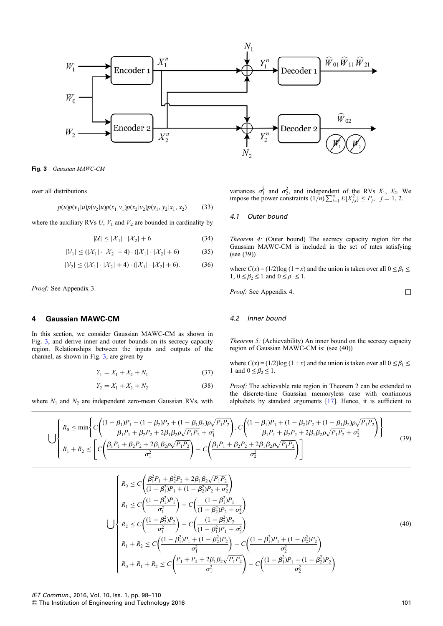

Fig. 3 Gaussian MAWC-CM

over all distributions

 $p(u)p(v_1|u)p(v_2|u)p(x_1|v_1)p(x_2|v_2)p(y_1, y_2|x_1, x_2)$  (33)

where the auxiliary RVs  $U, V_1$  and  $V_2$  are bounded in cardinality by

$$
|\mathcal{U}| \le |\mathcal{X}_1| \cdot |\mathcal{X}_2| + 6 \tag{34}
$$

$$
|\mathcal{V}_1| \le (|\mathcal{X}_1| \cdot |\mathcal{X}_2| + 4) \cdot (|\mathcal{X}_1| \cdot |\mathcal{X}_2| + 6) \tag{35}
$$

$$
|\mathcal{V}_2| \le (|\mathcal{X}_1| \cdot |\mathcal{X}_2| + 4) \cdot (|\mathcal{X}_1| \cdot |\mathcal{X}_2| + 6). \tag{36}
$$

Proof: See Appendix 3.

## 4 Gaussian MAWC-CM

In this section, we consider Gaussian MAWC-CM as shown in Fig. 3, and derive inner and outer bounds on its secrecy capacity region. Relationships between the inputs and outputs of the channel, as shown in Fig. 3, are given by

$$
Y_1 = X_1 + X_2 + N_1 \tag{37}
$$

$$
Y_2 = X_1 + X_2 + N_2 \tag{38}
$$

where  $N_1$  and  $N_2$  are independent zero-mean Gaussian RVs, with

variances  $\sigma_1^2$  and  $\sigma_2^2$ , and independent of the RVs  $X_1$ ,  $X_2$ . We impose the power constraints  $(1/n) \sum_{i=1}^{n} E[X_{j,i}^2] \le P_j$ ,  $j = 1, 2$ .

## 4.1 Outer bound

Theorem 4: (Outer bound) The secrecy capacity region for the Gaussian MAWC-CM is included in the set of rates satisfying (see (39))

where  $C(x) = (1/2) \log (1 + x)$  and the union is taken over all  $0 \le \beta_1 \le$ 1,  $0 \leq \beta_2 \leq 1$  and  $0 \leq \rho \leq 1$ .

*Proof:* See Appendix 4.  $\Box$ 

#### 4.2 Inner bound

Theorem 5: (Achievability) An inner bound on the secrecy capacity region of Gaussian MAWC-CM is: (see (40))

where  $C(x) = (1/2) \log (1 + x)$  and the union is taken over all  $0 \le \beta_1 \le$ 1 and  $0 \leq \beta_2 \leq 1$ .

Proof: The achievable rate region in Theorem 2 can be extended to the discrete-time Gaussian memoryless case with continuous alphabets by standard arguments [17]. Hence, it is sufficient to

$$
\bigcup \left\{\n\begin{array}{l}\nR_0 \leq \min\left\{ C \left( \frac{(1-\beta_1)P_1 + (1-\beta_2)P_2 + (1-\beta_1\beta_2)\rho\sqrt{P_1P_2}}{\beta_1P_1 + \beta_2P_2 + 2\beta_1\beta_2\rho\sqrt{P_1P_2} + \sigma_1^2} \right),\n\\
C \left( \frac{(1-\beta_1)P_1 + (1-\beta_2)P_2 + (1-\beta_1\beta_2)\rho\sqrt{P_1P_2}}{\beta_1P_1 + \beta_2P_2 + 2\beta_1\beta_2\rho\sqrt{P_1P_2} + \sigma_2^2} \right)\n\\
R_1 + R_2 \leq \left[ C \left( \frac{\beta_1P_1 + \beta_2P_2 + 2\beta_1\beta_2\rho\sqrt{P_1P_2}}{\sigma_1^2} \right) - C \left( \frac{\beta_1P_1 + \beta_2P_2 + 2\beta_1\beta_2\rho\sqrt{P_1P_2}}{\sigma_2^2} \right) \right]\n\end{array}\n\tag{39}
$$

$$
\begin{cases}\n R_0 \le C \left( \frac{\beta_1^2 P_1 + \beta_2^2 P_2 + 2\beta_1 \beta_2 \sqrt{P_1 P_2}}{(1 - \beta_1^2) P_1 + (1 - \beta_2^2) P_2 + \sigma_2^2} \right) \\
 R_1 \le C \left( \frac{(1 - \beta_1^2) P_1}{\sigma_1^2} \right) - C \left( \frac{(1 - \beta_1^2) P_1}{(1 - \beta_2^2) P_2 + \sigma_2^2} \right) \\
 R_2 \le C \left( \frac{(1 - \beta_2^2) P_2}{\sigma_1^2} \right) - C \left( \frac{(1 - \beta_2^2) P_2}{(1 - \beta_1^2) P_1 + \sigma_2^2} \right) \\
 R_1 + R_2 \le C \left( \frac{(1 - \beta_1^2) P_1 + (1 - \beta_2^2) P_2}{\sigma_1^2} \right) - C \left( \frac{(1 - \beta_1^2) P_1 + (1 - \beta_2^2) P_2}{\sigma_2^2} \right) \\
 R_0 + R_1 + R_2 \le C \left( \frac{P_1 + P_2 + 2\beta_1 \beta_2 \sqrt{P_1 P_2}}{\sigma_1^2} \right) - C \left( \frac{(1 - \beta_1^2) P_1 + (1 - \beta_2^2) P_2}{\sigma_2^2} \right)\n\end{cases}\n\tag{40}
$$

IET Commun., 2016, Vol. 10, Iss. 1, pp. 98–110  $\heartsuit$  The Institution of Engineering and Technology 2016 101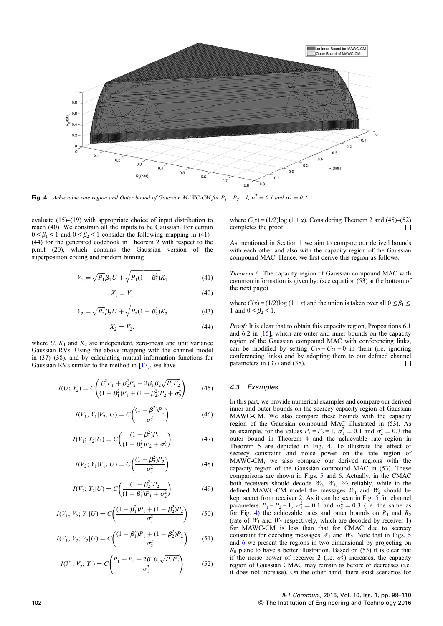

**Fig. 4** Achievable rate region and Outer bound of Gaussian MAWC-CM for  $P_1 = P_2 = 1$ ,  $\sigma_1^2 = 0.1$  and  $\sigma_2^2 = 0.3$ 

evaluate (15)–(19) with appropriate choice of input distribution to reach (40). We constrain all the inputs to be Gaussian. For certain  $0 \leq \beta_1 \leq 1$  and  $0 \leq \beta_2 \leq 1$  consider the following mapping in (41)– (44) for the generated codebook in Theorem 2 with respect to the p.m.f (20), which contains the Gaussian version of the superposition coding and random binning

$$
V_1 = \sqrt{P_1} \beta_1 U + \sqrt{P_1 (1 - \beta_1^2)} K_1
$$
 (41)

$$
X_1 = V_1 \tag{42}
$$

$$
V_2 = \sqrt{P_2} \beta_2 U + \sqrt{P_2 (1 - \beta_2^2)} K_2
$$
 (43)

$$
X_2 = V_2. \tag{44}
$$

where  $U$ ,  $K_1$  and  $K_2$  are independent, zero-mean and unit variance Gaussian RVs. Using the above mapping with the channel model in (37)–(38), and by calculating mutual information functions for Gaussian RVs similar to the method in [17], we have

$$
I(U; Y_2) = C \left( \frac{\beta_1^2 P_1 + \beta_2^2 P_2 + 2\beta_1 \beta_2 \sqrt{P_1 P_2}}{(1 - \beta_1^2) P_1 + (1 - \beta_2^2) P_2 + \sigma_2^2} \right)
$$
(45)

$$
I(V_1; Y_1 | V_2, U) = C\left(\frac{(1 - \beta_1^2)P_1}{\sigma_1^2}\right)
$$
(46)

$$
I(V_1; Y_2 | U) = C \left( \frac{(1 - \beta_1^2)P_1}{(1 - \beta_2^2)P_2 + \sigma_2^2} \right)
$$
(47)

$$
I(V_2; Y_1 | V_1, U) = C\left(\frac{(1 - \beta_2^2)P_2}{\sigma_1^2}\right)
$$
(48)

$$
I(V_2; Y_2 | U) = C \left( \frac{(1 - \beta_2^2) P_2}{(1 - \beta_1^2) P_1 + \sigma_2^2} \right)
$$
(49)

$$
I(V_1, V_2; Y_1 | U) = C \left( \frac{(1 - \beta_1^2)P_1 + (1 - \beta_2^2)P_2}{\sigma_1^2} \right)
$$
 (50)

$$
I(V_1, V_2; Y_2 | U) = C \left( \frac{(1 - \beta_1^2)P_1 + (1 - \beta_2^2)P_2}{\sigma_2^2} \right)
$$
 (51)

$$
I(V_1, V_2; Y_1) = C \left( \frac{P_1 + P_2 + 2\beta_1 \beta_2 \sqrt{P_1 P_2}}{\sigma_1^2} \right)
$$
 (52)

where  $C(x) = (1/2)log (1 + x)$ . Considering Theorem 2 and (45)–(52) completes the proof.

As mentioned in Section 1 we aim to compare our derived bounds with each other and also with the capacity region of the Gaussian compound MAC. Hence, we first derive this region as follows.

Theorem 6: The capacity region of Gaussian compound MAC with common information is given by: (see equation (53) at the bottom of the next page)

where  $C(x) = (1/2)\log(1+x)$  and the union is taken over all  $0 \le \beta_1 \le$ 1 and  $0 \leq \beta_2 \leq 1$ .

Proof: It is clear that to obtain this capacity region, Propositions 6.1 and 6.2 in [15], which are outer and inner bounds on the capacity region of the Gaussian compound MAC with conferencing links, can be modified by setting  $C_{12} = C_{21} = 0$  in them (i.e. ignoring conferencing links) and by adopting them to our defined channel parameters in (37) and (38).  $\Box$ 

#### 4.3 Examples

In this part, we provide numerical examples and compare our derived inner and outer bounds on the secrecy capacity region of Gaussian MAWC-CM. We also compare these bounds with the capacity region of the Gaussian compound MAC illustrated in (53). As an example, for the values  $P_1 = P_2 = 1$ ,  $\sigma_1^2 = 0.1$  and  $\sigma_2^2 = 0.3$  the outer bound in Theorem 4 and the achievable rate region in Theorem 5 are depicted in Fig. 4. To illustrate the effect of secrecy constraint and noise power on the rate region of MAWC-CM, we also compare our derived regions with the capacity region of the Gaussian compound MAC in (53). These comparisons are shown in Figs. 5 and 6. Actually, in the CMAC both receivers should decode  $W_0$ ,  $W_1$ ,  $W_2$  reliably, while in the defined MAWC-CM model the messages  $W_1$  and  $W_2$  should be kept secret from receiver 2. As it can be seen in Fig. 5 for channel parameters  $P_1 = P_2 = 1$ ,  $\sigma_1^2 = 0.1$  and  $\sigma_2^2 = 0.3$  (i.e. the same as for Fig. 4) the achievable rates and outer bounds on  $R_1$  and  $R_2$ (rate of  $W_1$  and  $W_2$  respectively, which are decoded by receiver 1) for MAWC-CM is less than that for CMAC due to secrecy constraint for decoding messages  $W_1$  and  $W_2$ . Note that in Figs. 5 and 6 we present the regions in two-dimensional by projecting on  $R_0$  plane to have a better illustration. Based on (53) it is clear that if the noise power of receiver 2 (i.e.  $\sigma_2^2$ ) increases, the capacity region of Gaussian CMAC may remain as before or decreases (i.e. it does not increase). On the other hand, there exist scenarios for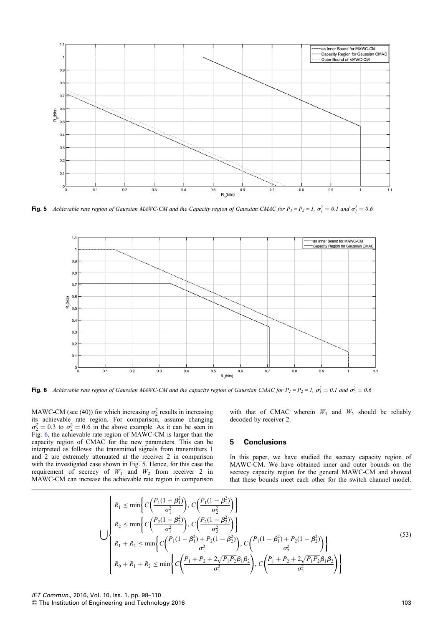

**Fig. 5** Achievable rate region of Gaussian MAWC-CM and the Capacity region of Gaussian CMAC for  $P_1 = P_2 = 1$ ,  $\sigma_1^2 = 0.1$  and  $\sigma_2^2 = 0.6$ 



**Fig. 6** Achievable rate region of Gaussian MAWC-CM and the capacity region of Gaussian CMAC for  $P_1 = P_2 = 1$ ,  $\sigma_1^2 = 0.1$  and  $\sigma_2^2 = 0.6$ 

MAWC-CM (see (40)) for which increasing  $\sigma_2^2$  results in increasing its achievable rate region. For comparison, assume changing  $\sigma_2^2 = 0.3$  to  $\sigma_2^2 = 0.6$  in the above example. As it can be seen in Fig. 6, the achievable rate region of MAWC-CM is larger than the capacity region of CMAC for the new parameters. This can be interpreted as follows: the transmitted signals from transmitters 1 and 2 are extremely attenuated at the receiver 2 in comparison with the investigated case shown in Fig. 5. Hence, for this case the requirement of secrecy of  $W_1$  and  $W_2$  from receiver 2 in MAWC-CM can increase the achievable rate region in comparison

with that of CMAC wherein  $W_1$  and  $W_2$  should be reliably decoded by receiver 2.

## 5 Conclusions

In this paper, we have studied the secrecy capacity region of MAWC-CM. We have obtained inner and outer bounds on the secrecy capacity region for the general MAWC-CM and showed that these bounds meet each other for the switch channel model.

$$
\left\{\n\begin{aligned}\nR_1 &\leq \min\left\{ C\left(\frac{P_1(1-\beta_1^2)}{\sigma_1^2}\right), C\left(\frac{P_1(1-\beta_1^2)}{\sigma_2^2}\right)\right\} \\
R_2 &\leq \min\left\{ C\left(\frac{P_2(1-\beta_2^2)}{\sigma_1^2}\right), C\left(\frac{P_2(1-\beta_2^2)}{\sigma_2^2}\right)\right\} \\
R_1 + R_2 &\leq \min\left\{ C\left(\frac{P_1(1-\beta_1^2) + P_2(1-\beta_2^2)}{\sigma_1^2}\right), C\left(\frac{P_1(1-\beta_1^2) + P_2(1-\beta_2^2)}{\sigma_2^2}\right)\right\} \\
R_0 + R_1 + R_2 &\leq \min\left\{ C\left(\frac{P_1 + P_2 + 2\sqrt{P_1 P_2} \beta_1 \beta_2}{\sigma_1^2}\right), C\left(\frac{P_1 + P_2 + 2\sqrt{P_1 P_2} \beta_1 \beta_2}{\sigma_2^2}\right)\right\}\n\end{aligned}\n\tag{53}
$$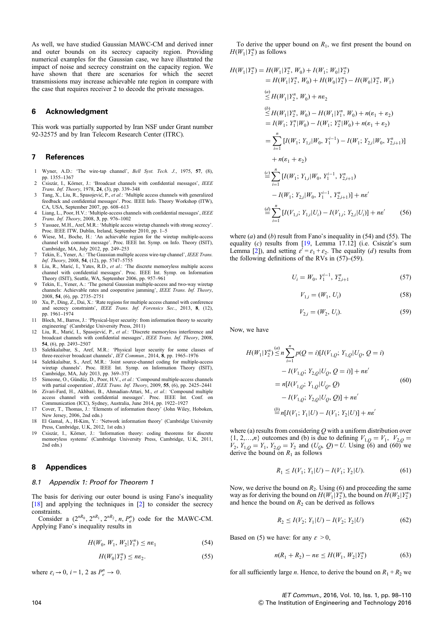As well, we have studied Gaussian MAWC-CM and derived inner and outer bounds on its secrecy capacity region. Providing numerical examples for the Gaussian case, we have illustrated the impact of noise and secrecy constraint on the capacity region. We have shown that there are scenarios for which the secret transmissions may increase achievable rate region in compare with the case that requires receiver 2 to decode the private messages.

## 6 Acknowledgment

This work was partially supported by Iran NSF under Grant number 92-32575 and by Iran Telecom Research Center (ITRC).

## 7 References

- 1 Wyner, A.D.: 'The wire-tap channel', Bell Syst. Tech. J., 1975, 57, (8), pp. 1355–1367
- 2 Csiszár, I., Körner, J.: 'Broadcast channels with confidential messages', IEEE Trans. Inf. Theory, 1978, 24, (3), pp. 339–348
- Tang, X., Liu, R., Spasojević, P., et al.: 'Multiple access channels with generalized feedback and confidential messages'. Proc. IEEE Info. Theory Workshop (ITW), CA, USA, September 2007, pp. 608–613
- 4 Liang, L., Poor, H.V.: 'Multiple-access channels with confidential messages', IEEE Trans. Inf. Theory, 2008, 3, pp. 976–1002
- 5 Yassaee, M.H., Aref, M.R.: 'Multiple access wiretap channels with strong secrecy'. Proc. IEEE ITW, Dublin, Ireland, September 2010, pp. 1–5
- 6 Wiese, M., Boche, H.: 'An achievable region for the wiretap multiple-access channel with common message'. Proc. IEEE Int. Symp. on Info. Theory (ISIT), Cambridge, MA, July 2012, pp. 249–253
- 7 Tekin, E., Yener, A.: 'The Gaussian multiple access wire-tap channel', IEEE Trans. Inf. Theory, 2008, 54, (12), pp. 5747–5755
- 8 Liu, R., Maric, I., Yates, R.D., et al.: 'The discrete memoryless multiple access channel with confidential messages'. Proc. IEEE Int. Symp. on Information
- Theory (ISIT), Seattle, WA, September 2006, pp. 957–961<br>9 Tekin, E., Yener, A.: 'The general Gaussian multiple-access and two-way wiretap<br>channels: Achievable rates and cooperative jamming', IEEE Trans. Inf. Theory, 2008, 54, (6), pp. 2735–2751
- 10 Xu, P., Ding, Z., Dai, X.: 'Rate regions for multiple access channel with conference and secrecy constraints', IEEE Trans. Inf. Forensics Sec., 2013, 8, (12), pp. 1961–1974
- 11 Bloch, M., Barros, J.: 'Physical-layer security: from information theory to security engineering' (Cambridge University Press, 2011)
- 12 Liu, R., Maric, I., Spasojević, P., *et al.*: 'Discrete memoryless interference and broadcast channels with confidential messages', IEEE Trans. Inf. Theory, 2008, 54, (6), pp. 2493–2507
- 13 Salehkalaibar, S., Aref, M.R.: 'Physical layer security for some classes of three-receiver broadcast channels', IET Commun., 2014, 8, pp. 1965-1976
- 14 Salehkalaibar, S., Aref, M.R.: 'Joint source-channel coding for multiple-access wiretap channels'. Proc. IEEE Int. Symp. on Information Theory (ISIT), Cambridge, MA, July 2013, pp. 369–373
- 15 Simeone, O., Gündüz, D., Poor, H.V., et al.: 'Compound multiple-access channels with partial cooperation', IEEE Trans. Inf. Theory, 2009, 55, (6), pp. 2425-2441
- 16 Zivari-Fard, H., Akhbari, B., Ahmadian-Attari, M., et al.: 'Compound multiple access channel with confidential messages'. Proc. IEEE Int. Conf. on
- Communication (ICC), Sydney, Australia, June 2014, pp. 1922–1927 17 Cover, T., Thomas, J.: 'Elements of information theory' (John Wiley, Hoboken, New Jersey, 2006, 2nd edn.)
- El Gamal, A., H-Kim, Y.: 'Network information theory' (Cambridge University Press, Cambridge, U.K, 2012, 1st edn.)
- 19 Csiszár, I., Körner, J.: 'Information theory: coding theorems for discrete memoryless systems' (Cambridge University Press, Cambridge, U.K, 2011, 2nd edn.)

## 8 Appendices

## 8.1 Appendix 1: Proof for Theorem 1

The basis for deriving our outer bound is using Fano's inequality [18] and applying the techniques in [2] to consider the secrecy constraints.

Consider a  $(2^{nR_0}, 2^{nR_1}, 2^{nR_2}, n, P_e^n)$  code for the MAWC-CM. Applying Fano's inequality results in

$$
H(W_0, W_1, W_2|Y_1^n) \le n\varepsilon_1 \tag{54}
$$

$$
H(W_0|Y_2^n) \le n\varepsilon_2. \tag{55}
$$

where  $\varepsilon_i \to 0$ ,  $i = 1, 2$  as  $P_e^n \to 0$ .

To derive the upper bound on  $R_1$ , we first present the bound on  $H(W_1|Y_2^n)$  as follows

$$
H(W_1|Y_2^n) = H(W_1|Y_2^n, W_0) + I(W_1; W_0|Y_2^n)
$$
  
\n
$$
= H(W_1|Y_2^n, W_0) + H(W_0|Y_2^n) - H(W_0|Y_2^n, W_1)
$$
  
\n
$$
\stackrel{(a)}{\leq} H(W_1|Y_2^n, W_0) + n\varepsilon_2
$$
  
\n
$$
\stackrel{(b)}{\leq} H(W_1|Y_2^n, W_0) - H(W_1|Y_1^n, W_0) + n(\varepsilon_1 + \varepsilon_2)
$$
  
\n
$$
= I(W_1; Y_1^n|W_0) - I(W_1; Y_2^n|W_0) + n(\varepsilon_1 + \varepsilon_2)
$$
  
\n
$$
= \sum_{i=1}^n [I(W_1; Y_{1,i}|W_0, Y_1^{i-1}) - I(W_1; Y_{2,i}|W_0, Y_{2,i+1}^n)]
$$
  
\n
$$
+ n(\varepsilon_1 + \varepsilon_2)
$$
  
\n
$$
\stackrel{(c)}{=} \sum_{i=1}^n [I(W_1; Y_{1,i}|W_0, Y_1^{i-1}, Y_{2,i+1}^n)]
$$
  
\n
$$
- I(W_1; Y_{2,i}|W_0, Y_1^{i-1}, Y_{2,i+1}^n)] + n\varepsilon'
$$
  
\n
$$
\stackrel{(d)}{=} \sum_{i=1}^n [I(V_{1,i}; Y_{1,i}|U_i) - I(V_{1,i}; Y_{2,i}|U_i)] + n\varepsilon'
$$
 (56)

where  $(a)$  and  $(b)$  result from Fano's inequality in (54) and (55). The equality  $(c)$  results from [19, Lemma 17.12] (i.e. Csiszár's sum Lemma [2]), and setting  $\varepsilon' = \varepsilon_1 + \varepsilon_2$ . The equality (*d*) results from the following definitions of the RVs in (57)–(59).

$$
U_i = W_0, Y_1^{i-1}, Y_{2,i+1}^n \tag{57}
$$

$$
V_{1,i} = (W_1, U_i) \tag{58}
$$

$$
V_{2,i} = (W_2, U_i). \tag{59}
$$

Now, we have

$$
H(W_1|Y_2^n) \stackrel{(a)}{\leq} n \sum_{i=1}^n p(Q=i)[I(V_{1,Q}; Y_{1,Q}|U_Q, Q=i)
$$
  

$$
-I(V_{1,Q}; Y_{2,Q}|U_Q, Q=i)] + n\epsilon'
$$
  

$$
= n[I(V_{1,Q}; Y_{1,Q}|U_Q, Q)]
$$
  

$$
-I(V_{1,Q}; Y_{2,Q}|U_Q, Q)] + n\epsilon'
$$
  

$$
\stackrel{(b)}{=} n[I(V_1; Y_1|U) - I(V_1; Y_2|U)] + n\epsilon'
$$

where (a) results from considering  $Q$  with a uniform distribution over  $\{1, 2,...,n\}$  outcomes and (b) is due to defining  $V_{1,Q} = V_1$ ,  $V_{2,Q} =$  $V_2$ ,  $Y_{1,Q} = Y_1$ ,  $Y_{2,Q} = Y_2$  and  $(U_Q, Q) = U$ . Using (6) and (60) we derive the bound on  $R_1$  as follows

$$
R_1 \le I(V_1; Y_1 | U) - I(V_1; Y_2 | U). \tag{61}
$$

Now, we derive the bound on  $R_2$ . Using (6) and proceeding the same way as for deriving the bound on  $H(W_1|Y_2^n)$ , the bound on  $H(W_2|Y_2^n)$ and hence the bound on  $R<sub>2</sub>$  can be derived as follows

$$
R_2 \le I(V_2; Y_1 | U) - I(V_2; Y_2 | U)
$$
\n(62)

Based on (5) we have: for any  $\varepsilon > 0$ ,

$$
n(R_1 + R_2) - n\varepsilon \le H(W_1, W_2 | Y_2^n) \tag{63}
$$

for all sufficiently large *n*. Hence, to derive the bound on  $R_1 + R_2$  we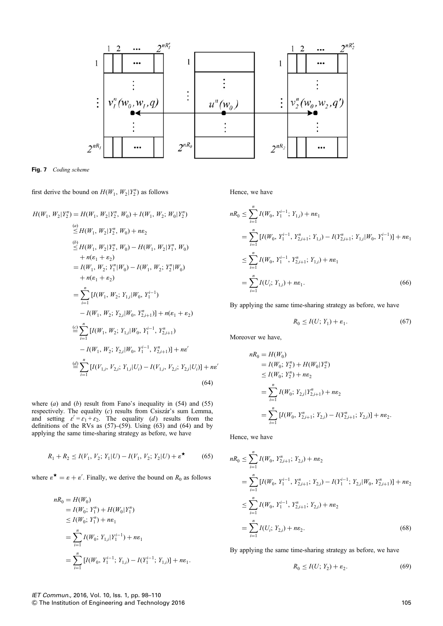

Fig. 7 Coding scheme

first derive the bound on  $H(W_1, W_2 | Y_2^n)$  as follows

$$
H(W_1, W_2|Y_2^n) = H(W_1, W_2|Y_2^n, W_0) + I(W_1, W_2; W_0|Y_2^n)
$$
  
\n
$$
\stackrel{(a)}{\leq} H(W_1, W_2|Y_2^n, W_0) + n\varepsilon_2
$$
  
\n
$$
\stackrel{(b)}{\leq} H(W_1, W_2|Y_2^n, W_0) - H(W_1, W_2|Y_1^n, W_0)
$$
  
\n
$$
+ n(\varepsilon_1 + \varepsilon_2)
$$
  
\n
$$
= I(W_1, W_2; Y_1^n|W_0) - I(W_1, W_2; Y_2^n|W_0)
$$
  
\n
$$
+ n(\varepsilon_1 + \varepsilon_2)
$$
  
\n
$$
= \sum_{i=1}^n [I(W_1, W_2; Y_{1,i}|W_0, Y_1^{i-1})
$$
  
\n
$$
- I(W_1, W_2; Y_{2,i}|W_0, Y_{2,i+1}^n)] + n(\varepsilon_1 + \varepsilon_2)
$$
  
\n
$$
\stackrel{(c)}{=} \sum_{i=1}^n [I(W_1, W_2; Y_{1,i}|W_0, Y_1^{i-1}, Y_{2,i+1}^n)]
$$
  
\n
$$
- I(W_1, W_2; Y_{2,i}|W_0, Y_1^{i-1}, Y_{2,i+1}^n)] + n\varepsilon'
$$
  
\n
$$
\stackrel{(d)}{=} \sum_{i=1}^n [I(V_{1,i}, V_{2,i}; Y_{1,i}|U_i) - I(V_{1,i}, V_{2,i}; Y_{2,i}|U_i)] + n\varepsilon'
$$
  
\n(64)

where  $(a)$  and  $(b)$  result from Fano's inequality in  $(54)$  and  $(55)$ respectively. The equality (c) results from Csiszár's sum Lemma, and setting  $\varepsilon' = \varepsilon_1 + \varepsilon_2$ . The equality (*d*) results from the definitions of the RVs as (57)–(59). Using (63) and (64) and by applying the same time-sharing strategy as before, we have

$$
R_1 + R_2 \le I(V_1, V_2; Y_1 | U) - I(V_1, V_2; Y_2 | U) + \varepsilon^{\star}
$$
 (65)

where  $\varepsilon^{\star} = \varepsilon + \varepsilon'$ . Finally, we derive the bound on  $R_0$  as follows

$$
nR_0 = H(W_0)
$$
  
=  $I(W_0; Y_1^n) + H(W_0|Y_1^n)$   
\$\le I(W\_0; Y\_1^n) + n\epsilon\_1\$  
=  $\sum_{i=1}^n I(W_0; Y_{1,i}|Y_1^{i-1}) + n\epsilon_1$   
=  $\sum_{i=1}^n [I(W_0, Y_1^{i-1}; Y_{1,i}) - I(Y_1^{i-1}; Y_{1,i})] + n\epsilon_1$ .

Hence, we have

$$
nR_0 \le \sum_{i=1}^n I(W_0, Y_1^{i-1}; Y_{1,i}) + n\varepsilon_1
$$
  
= 
$$
\sum_{i=1}^n [I(W_0, Y_1^{i-1}, Y_{2,i+1}^n; Y_{1,i}) - I(Y_{2,i+1}^n; Y_{1,i}|W_0, Y_1^{i-1})] + n\varepsilon_1
$$
  

$$
\le \sum_{i=1}^n I(W_0, Y_1^{i-1}, Y_{2,i+1}^n; Y_{1,i}) + n\varepsilon_1
$$
  
= 
$$
\sum_{i=1}^n I(U_i; Y_{1,i}) + n\varepsilon_1.
$$
 (66)

By applying the same time-sharing strategy as before, we have

$$
R_0 \le I(U; Y_1) + \varepsilon_1. \tag{67}
$$

Moreover we have,

$$
nR_0 = H(W_0)
$$
  
=  $I(W_0; Y_2^n) + H(W_0|Y_2^n)$   
\$\leq I(W\_0; Y\_2^n) + n\varepsilon\_2\$  
=  $\sum_{i=1}^n I(W_0; Y_{2,i}|Y_{2,i+1}^n) + n\varepsilon_2$=  $\sum_{i=1}^n [I(W_0, Y_{2,i+1}^n; Y_{2,i}) - I(Y_{2,i+1}^n; Y_{2,i})] + n\varepsilon_2$ .$ 

Hence, we have

$$
nR_0 \le \sum_{i=1}^n I(W_0, Y_{2,i+1}^n; Y_{2,i}) + n\varepsilon_2
$$
  
= 
$$
\sum_{i=1}^n [I(W_0, Y_1^{i-1}, Y_{2,i+1}^n; Y_{2,i}) - I(Y_1^{i-1}; Y_{2,i}|W_0, Y_{2,i+1}^n)] + n\varepsilon_2
$$
  

$$
\le \sum_{i=1}^n I(W_0, Y_1^{i-1}, Y_{2,i+1}^n; Y_{2,i}) + n\varepsilon_2
$$
  
= 
$$
\sum_{i=1}^n I(U_i; Y_{2,i}) + n\varepsilon_2.
$$
 (68)

By applying the same time-sharing strategy as before, we have

$$
R_0 \le I(U; Y_2) + \varepsilon_2. \tag{69}
$$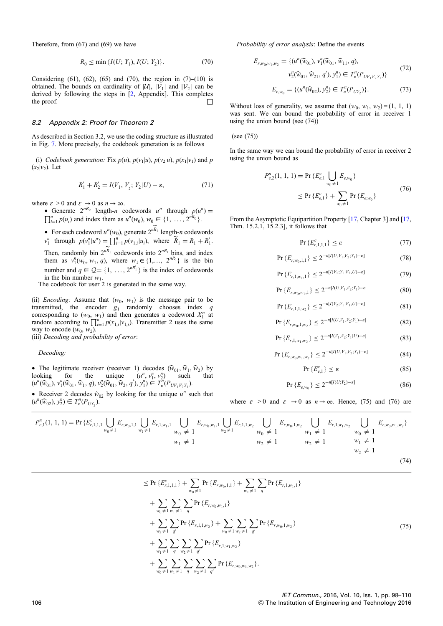Therefore, from (67) and (69) we have

$$
R_0 \le \min \{ I(U; Y_1), I(U; Y_2) \}.
$$
 (70)

Considering (61), (62), (65) and (70), the region in  $(7)$ – $(10)$  is obtained. The bounds on cardinality of  $|U|$ ,  $|\tilde{V}_1|$  and  $|\tilde{V}_2|$  can be derived by following the steps in [2, Appendix]. This completes the proof.  $\Box$ 

## 8.2 Appendix 2: Proof for Theorem 2

As described in Section 3.2, we use the coding structure as illustrated in Fig. 7. More precisely, the codebook generation is as follows

(i) Codebook generation: Fix  $p(u)$ ,  $p(v_1|u)$ ,  $p(v_2|u)$ ,  $p(x_1|v_1)$  and p  $(x_2|v_2)$ . Let

$$
R'_1 + R'_2 = I(V_1, V_2; Y_2 | U) - \varepsilon,\tag{71}
$$

where  $\varepsilon > 0$  and  $\varepsilon \to 0$  as  $n \to \infty$ .

- Generate  $2^{nR_0}$  length-n codewords  $u^n$  through  $p(u^n) =$ • Generate  $2^{nK_0}$  length-*n* codewords  $u^n$  through  $p(u^n) = \prod_{i=1}^n p(u_i)$  and index them as  $u^n(w_0), w_0 \in \{1, ..., 2^{nK_0}\}.$
- For each codeword  $u^n(w_0)$ , generate  $2^{nR_1}$  length-n codewords  $v_1^n$  through  $p(v_1^n|u^n) = \prod_{i=1}^n p(v_{1,i}|u_i)$ , where  $\widetilde{R}_1 = R_1 + R'_1$ .

Then, randomly bin  $2^{nR_1}$  codewords into  $2^{nR_1}$  bins, and index them as  $v_1^n(w_0, w_1, q)$ , where  $w_1 \in \{1, ..., 2^{nR_1}\}$  is the bin number and  $q \in \mathcal{Q} = \{1, \ldots, 2^{nR'_1}\}\$ is the index of codewords in the bin number  $w_1$ .

The codebook for user 2 is generated in the same way.

(ii) *Encoding:* Assume that  $(w_0, w_1)$  is the message pair to be transmitted, the encoder  $g_1$  randomly chooses index q corresponding to  $(w_0, w_1)$  and then generates a codeword  $X_1^n$  at random according to  $\prod_{i=1}^{n} p(x_{1,i} | v_{1,i})$ . Transmitter 2 uses the same way to encode  $(w_0, w_2)$ .

(iii) Decoding and probability of error:

Decoding:

• The legitimate receiver (receiver 1) decodes  $(\widehat{w}_{01}, \widehat{w}_1, \widehat{w}_2)$  by looking for the unique  $(u^n, v_1^n, v_2^n)$  such that looking for the unique  $(u^n, v_1^n, v_2^n)$  such that  $(u^n(\widehat{w}_{01}), v_1^n(\widehat{w}_{01}, \widehat{w}_1, q), v_2^n(\widehat{w}_{01}, \widehat{w}_2, q'), v_1^n) \in T^{\widetilde{n}}(P_{UV_1V_2Y_1}).$ 

• Receiver 2 decodes  $\hat{w}_{02}$  by looking for the unique  $u^n$  such that  $(u^n(\widehat{w}_{02}), y_2^n) \in T_{\varepsilon}^n(P_{UY_2}).$ 

Probability of error analysis: Define the events

$$
E_{r,w_0,w_1,w_2} = \{ (u^n(\widehat{w}_{01}), v_1^n(\widehat{w}_{01}, \widehat{w}_{11}, q), v_2^n(\widehat{w}_{01}, \widehat{w}_{21}, q'), y_1^n) \in T_e^n(P_{UV_1V_2Y_1}) \}
$$
(72)

$$
E_{e,w_0} = \{ (u^n(\widehat{w}_{02}), y_2^n) \in T_e^n(P_{UY_2}) \}.
$$
 (73)

Without loss of generality, we assume that  $(w_0, w_1, w_2) = (1, 1, 1)$ was sent. We can bound the probability of error in receiver 1 using the union bound (see  $(74)$ )

(see (75))

In the same way we can bound the probability of error in receiver 2 using the union bound as

$$
P_{e,2}^{n}(1, 1, 1) = \Pr \{ E_{e,1}^{c} \bigcup_{w_{0} \neq 1} E_{e,w_{0}} \}
$$
  
 
$$
\leq \Pr \{ E_{e,1}^{c} \} + \sum_{w_{0} \neq 1} \Pr \{ E_{e,w_{0}} \}
$$
 (76)

From the Asymptotic Equipartition Property [17, Chapter 3] and [17, Thm. 15.2.1, 15.2.3], it follows that

$$
\Pr\left\{E_{r,1,1,1}^c\right\} \leq \varepsilon \tag{77}
$$

$$
\Pr\left\{E_{r,w_0,1,1}\right\} \le 2^{-n[I(U,V_1,V_2;Y_1)-\varepsilon]} \tag{78}
$$

$$
\Pr\left\{E_{r,1,w_1,1}\right\} \le 2^{-n[I(V_1;Y_1|V_2,U)-\varepsilon]} \tag{79}
$$

$$
\Pr\left\{E_{r,w_0,w_1,1}\right\} \le 2^{-n[I(U,V_1,V_2;Y_1)-\varepsilon} \tag{80}
$$

$$
\Pr\left\{E_{r,1,1,w_2}\right\} \le 2^{-n[I(V_2;Y_1|V_1,U)-\varepsilon]} \tag{81}
$$

$$
\Pr\left\{E_{r,w_0,1,w_2}\right\} \le 2^{-n[I(U,V_1,V_2;Y_1)-\varepsilon]} \tag{82}
$$

$$
\Pr\left\{E_{r,1,w_1,w_2}\right\} \le 2^{-n[I(V_1,V_2;Y_1|U)-\varepsilon]} \tag{83}
$$

$$
\Pr\left\{E_{r,w_0,w_1,w_2}\right\} \le 2^{-n[I(U,V_1,V_2;Y_1)-\varepsilon]} \tag{84}
$$

$$
\Pr\left\{E_{e,1}^c\right\} \le \varepsilon\tag{85}
$$

$$
\Pr\left\{E_{e,w_0}\right\} \le 2^{-n[I(U;Y_2)-\varepsilon]}
$$
\n(86)

where  $\varepsilon > 0$  and  $\varepsilon \to 0$  as  $n \to \infty$ . Hence, (75) and (76) are

$$
P_{e,1}^{n}(1, 1, 1) = \Pr\{E_{r,1,1,1}^{c} \bigcup_{w_{0} \neq 1} E_{r,w_{0},1,1} \bigcup_{w_{1} \neq 1} E_{r,1,w_{1},1} \bigcup_{w_{0} \neq 1} E_{r,w_{0},w_{1},1} \bigcup_{w_{2} \neq 1} E_{r,1,1,w_{2}} \bigcup_{w_{0} \neq 1} E_{r,w_{0},1,w_{2}} \bigcup_{w_{1} \neq 1} E_{r,1,w_{1},w_{2}} \bigcup_{w_{1} \neq 1} E_{r,1,w_{1},w_{2}} \bigcup_{w_{1} \neq 1} E_{r,w_{0},w_{1},w_{2}} \}
$$
\n
$$
E_{r,w_{0},1,w_{2}} \bigcup_{w_{1} \neq 1} E_{r,1,w_{1},w_{2}} \bigcup_{w_{1} \neq 1} E_{r,w_{0},w_{1},w_{2}} \bigcup_{w_{2} \neq 1} E_{r,1,w_{1},w_{2}} \bigcup_{w_{1} \neq 1} E_{r,1,w_{1},w_{2}} \bigcup_{w_{1} \neq 1} E_{r,1} \bigcup_{w_{1} \neq 1} E_{r,1} \bigcup_{w_{1} \neq 1} E_{r,1} \bigcup_{w_{1} \neq 1} E_{r,1} \bigcup_{w_{1} \neq 1} E_{r,1} \bigcup_{w_{1} \neq 1} E_{r,1} \bigcup_{w_{1} \neq 1} E_{r,1} \bigcup_{w_{1} \neq 1} E_{r,1} \bigcup_{w_{1} \neq 1} E_{r,1} \bigcup_{w_{1} \neq 1} E_{r,1} \bigcup_{w_{1} \neq 1} E_{r,1} \bigcup_{w_{1} \neq 1} E_{r,1} \bigcup_{w_{1} \neq 1} E_{r,1} \bigcup_{w_{1} \neq 1} E_{r,1} \bigcup_{w_{1} \neq 1} E_{r,1} \bigcup_{w_{1} \neq 1} E_{r,1} \bigcup_{w_{1} \neq 1} E_{r,1} \bigcup_{w_{1} \neq 1} E_{r,1} \bigcup_{w_{1} \neq 1} E_{r,1}
$$

$$
\leq \Pr \{ E_{r,1,1,1}^c \} + \sum_{w_0 \neq 1} \Pr \{ E_{r,w_0,1,1} \} + \sum_{w_1 \neq 1} \sum_{q} \Pr \{ E_{r,1,w_1,1} \} \n+ \sum_{w_0 \neq 1} \sum_{w_1 \neq 1} \sum_{q} \Pr \{ E_{r,w_0,w_1,1} \} \n+ \sum_{w_2 \neq 1} \sum_{q'} \Pr \{ E_{r,1,1,w_2} \} + \sum_{w_0 \neq 1} \sum_{w_2 \neq 1} \sum_{q'} \Pr \{ E_{r,w_0,1,w_2} \} \n+ \sum_{w_1 \neq 1} \sum_{q} \sum_{w_2 \neq 1} \sum_{q'} \Pr \{ E_{r,1,w_1,w_2} \} \n+ \sum_{w_0 \neq 1} \sum_{w_1 \neq 1} \sum_{q} \sum_{w_2 \neq 1} \sum_{q'} \Pr \{ E_{r,w_0,w_1,w_2} \}.
$$
\n(75)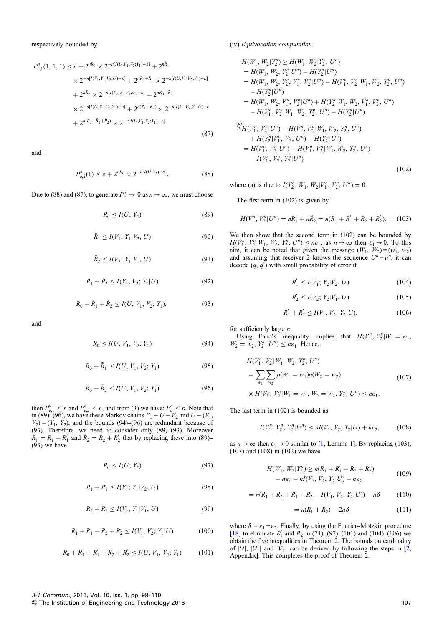## respectively bounded by

$$
P_{e,1}^{n}(1, 1, 1) \leq \varepsilon + 2^{nR_0} \times 2^{-n[I(U, V_1, V_2; Y_1) - \varepsilon]} + 2^{n\tilde{R}_1}
$$
  
\n
$$
\times 2^{-n[I(V_1; Y_1 | V_2, U) - \varepsilon]} + 2^{nR_0 + \tilde{R}_1} \times 2^{-n[I(U, V_1, V_2; Y_1) - \varepsilon]}
$$
  
\n
$$
+ 2^{n\tilde{R}_2} \times 2^{-n[I(V_2; Y_1 | V_1, U) - \varepsilon]} + 2^{nR_0 + \tilde{R}_2}
$$
  
\n
$$
\times 2^{-n[I(U, V_1, V_2; Y_1) - \varepsilon]} + 2^{n(\tilde{R}_1 + \tilde{R}_2)} \times 2^{-n[I(V_1, V_2; Y_1 | U) - \varepsilon]}
$$
  
\n
$$
+ 2^{n(R_0 + \tilde{R}_1 + \tilde{R}_2)} \times 2^{-n[I(U, V_1, Y_2; Y_1) - \varepsilon]}
$$
\n(87)

and

$$
P_{e,2}^n(1) \le \varepsilon + 2^{nR_0} \times 2^{-n[I(U;Y_2) - \varepsilon]}.
$$
\n(88)

Due to (88) and (87), to generate  $P_e^n \to 0$  as  $n \to \infty$ , we must choose

$$
R_0 \le I(U; Y_2) \tag{89}
$$

$$
\tilde{R}_1 \le I(V_1; Y_1 | V_2, U) \tag{90}
$$

$$
\tilde{R}_2 \le I(V_2; Y_1 | V_1, U) \tag{91}
$$

$$
\tilde{R}_1 + \tilde{R}_2 \le I(V_1, V_2; Y_1 | U)
$$
\n(92)

$$
R_0 + \tilde{R}_1 + \tilde{R}_2 \le I(U, V_1, V_2; Y_1),
$$
\n(93)

and

$$
R_0 \le I(U, V_1, V_2; Y_1) \tag{94}
$$

$$
R_0 + \tilde{R}_1 \le I(U, V_1, V_2; Y_1)
$$
\n(95)

$$
R_0 + \tilde{R}_2 \le I(U, V_1, V_2; Y_1)
$$
\n(96)

then  $P_{e,1}^n \leq \varepsilon$  and  $P_{e,2}^n \leq \varepsilon$ , and from (3) we have:  $P_e^n \leq \varepsilon$ . Note that in (89)–(96), we have these Markov chains  $V_1 - U - V_2$  and  $U - (V_1, V_2)$  $V_2$ ) –  $(Y_1, Y_2)$ , and the bounds (94)–(96) are redundant because of (93). Therefore, we need to consider only (89)–(93). Moreover  $\tilde{R}_1 = R_1 + R'_1$  and  $\tilde{R}_2 = R_2 + R'_2$  that by replacing these into (89)- $(93)$  we have

$$
R_0 \le I(U; Y_2) \tag{97}
$$

$$
R_1 + R'_1 \le I(V_1; Y_1 | V_2, U) \tag{98}
$$

$$
R_2 + R'_2 \le I(V_2; Y_1 | V_1, U) \tag{99}
$$

$$
R_1 + R_1' + R_2 + R_2' \le I(V_1, V_2; Y_1 | U)
$$
\n(100)

$$
R_0 + R_1 + R'_1 + R_2 + R'_2 \le I(U, V_1, V_2; Y_1)
$$
 (101)

(iv) Equivocation computation

$$
H(W_1, W_2|Y_2^n) \ge H(W_1, W_2|Y_2^n, U^n)
$$
  
=  $H(W_1, W_2, Y_2^n|U^n) - H(Y_2^n|U^n)$   
=  $H(W_1, W_2, Y_2^n, V_1^n, V_2^n|U^n) - H(V_1^n, V_2^n|W_1, W_2, Y_2^n, U^n)$   
 $- H(Y_2^n|U^n)$   
=  $H(W_1, W_2, V_1^n, V_2^n|U^n) + H(Y_2^n|W_1, W_2, V_1^n, V_2^n, U^n)$   
 $- H(V_1^n, V_2^n|W_1, W_2, Y_2^n, U^n) - H(Y_2^n|U^n)$ 

$$
\begin{aligned}\n\stackrel{(a)}{\geq} H(V_1^n, V_2^n | U^n) - H(V_1^n, V_2^n | W_1, W_2, Y_2^n, U^n) \\
&+ H(Y_2^n | V_1^n, V_2^n, U^n) - H(Y_2^n | U^n) \\
&= H(V_1^n, V_2^n | U^n) - H(V_1^n, V_2^n | W_1, W_2, Y_2^n, U^n) \\
&- I(V_1^n, V_2^n, Y_2^n | U^n)\n\end{aligned}
$$
\n(102)

where (a) is due to  $I(Y_2^n; W_1, W_2 | V_1^n, V_2^n, U^n) = 0$ .

The first term in (102) is given by

$$
H(V_1^n, V_2^n | U^n) = n\widetilde{R}_1 + n\widetilde{R}_2 = n(R_1 + R_1' + R_2 + R_2').
$$
 (103)

We then show that the second term in (102) can be bounded by  $H(V_1^n, V_2^n | W_1, W_2, Y_2^n, U^n) \le n\varepsilon_1$ , as  $n \to \infty$  then  $\varepsilon_1 \to 0$ . To this aim, it can be noted that given the message  $(W_1, W_2) = (w_1, w_2)$ <br>and assuming that receiver 2 knows the sequence  $U^n = u^n$ , it can decode  $(q, q')$  with small probability of error if

$$
R'_1 \le I(V_1; Y_2 | V_2, U) \tag{104}
$$

$$
R'_2 \le I(V_2; Y_2 | V_1, U) \tag{105}
$$

$$
R'_1 + R'_2 \le I(V_1, V_2; Y_2 | U). \tag{106}
$$

for sufficiently large  $n$ .

Using Fano's inequality implies that  $H(V_1^n, V_2^n | W_1 = w_1,$  $W_2 = W_2, Y_2^n, U^n \le n\varepsilon_1$ . Hence,

$$
H(V_1^n, V_2^n | W_1, W_2, Y_2^n, U^n)
$$
  
= 
$$
\sum_{w_1} \sum_{w_2} p(W_1 = w_1) p(W_2 = w_2)
$$
  

$$
\times H(V_1^n, V_2^n | W_1 = w_1, W_2 = w_2, Y_2^n, U^n) \le n\varepsilon_1.
$$
 (107)

The last term in (102) is bounded as

$$
I(V_1^n, V_2^n; Y_2^n | U^n) \le nI(V_1, V_2; Y_2 | U) + n\varepsilon_2, \tag{108}
$$

as  $n \to \infty$  then  $\varepsilon_2 \to 0$  similar to [1, Lemma 1]. By replacing (103), (107) and (108) in (102) we have

$$
H(W_1, W_2|Y_2^n) \ge n(R_1 + R_1' + R_2 + R_2')
$$
  
-  $n\epsilon_1 - nI(V_1, V_2; Y_2|U) - n\epsilon_2$  (109)

$$
= n(R_1 + R_2 + R_1' + R_2' - I(V_1, V_2; Y_2 | U)) - n\delta \tag{110}
$$

$$
= n(R_1 + R_2) - 2n\delta \tag{111}
$$

where  $\delta = \varepsilon_1 + \varepsilon_2$ . Finally, by using the Fourier–Motzkin procedure [18] to eliminate  $R'_1$  and  $R'_2$  in (71), (97)–(101) and (104)–(106) we obtain the five inequalities in Theorem 2. The bounds on cardinality of  $|U|$ ,  $|V_1|$  and  $|V_2|$  can be derived by following the steps in [2, Appendix]. This completes the proof of Theorem 2.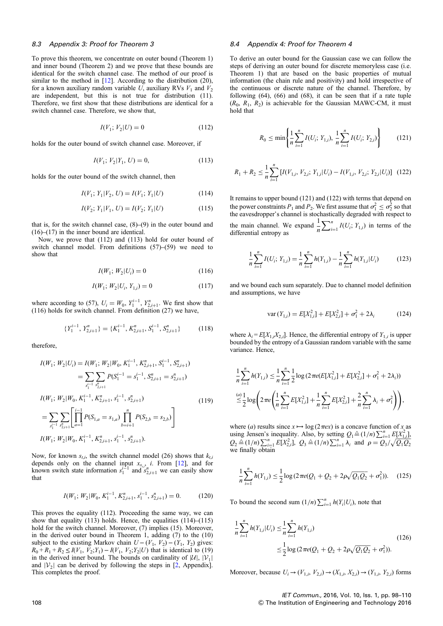#### 8.3 Appendix 3: Proof for Theorem 3

To prove this theorem, we concentrate on outer bound (Theorem 1) and inner bound (Theorem 2) and we prove that these bounds are identical for the switch channel case. The method of our proof is similar to the method in [12]. According to the distribution (20), for a known auxiliary random variable U, auxiliary RVs  $V_1$  and  $V_2$ are independent, but this is not true for distribution (11). Therefore, we first show that these distributions are identical for a switch channel case. Therefore, we show that,

$$
I(V_1; V_2 | U) = 0 \tag{112}
$$

holds for the outer bound of switch channel case. Moreover, if

$$
I(V_1; V_2 | Y_1, U) = 0,\t(113)
$$

holds for the outer bound of the switch channel, then

$$
I(V_1; Y_1 | V_2, U) = I(V_1; Y_1 | U)
$$
\n(114)

$$
I(V_2; Y_1 | V_1, U) = I(V_2; Y_1 | U)
$$
\n(115)

that is, for the switch channel case,  $(8)$ – $(9)$  in the outer bound and (16)–(17) in the inner bound are identical.

Now, we prove that (112) and (113) hold for outer bound of switch channel model. From definitions (57)–(59) we need to show that

$$
I(W_1; W_2 | U_i) = 0 \tag{116}
$$

$$
I(W_1; W_2 | U_i, Y_{1,i}) = 0 \tag{117}
$$

where according to (57),  $U_i = W_0$ ,  $Y_1^{i-1}$ ,  $Y_{2,i+1}^n$ . We first show that (116) holds for switch channel. From definition (27) we have,

$$
\{Y_1^{i-1}, Y_{2,i+1}^n\} = \{K_1^{i-1}, K_{2,i+1}^n, S_1^{i-1}, S_{2,i+1}^n\}
$$
 (118)

therefore,

$$
I(W_1; W_2 | U_i) = I(W_1; W_2 | W_0, K_1^{i-1}, K_{2,i+1}^n, S_1^{i-1}, S_{2,i+1}^n)
$$
  
\n
$$
= \sum_{s_1^{i-1}} \sum_{s_{2,i+1}^n} P(S_1^{i-1} = s_1^{i-1}, S_{2,i+1}^n = s_{2,i+1}^n)
$$
  
\n
$$
I(W_1; W_2 | W_0, K_1^{i-1}, K_{2,i+1}^n, s_1^{i-1}, s_{2,i+1}^n)
$$
  
\n
$$
= \sum_{s_1^{i-1}} \sum_{s_{2,i+1}^n} \left[ \prod_{a=1}^{i-1} P(S_{1,a} = s_{1,a}) \prod_{b=i+1}^n P(S_{2,b} = s_{2,b}) \right]
$$
  
\n
$$
I(W_1; W_2 | W_0, K_1^{i-1}, K_{2,i+1}^n, s_1^{i-1}, s_{2,i+1}^n).
$$
  
\n(119)

Now, for known  $s_{t,i}$ , the switch channel model (26) shows that  $k_{t,i}$ depends only on the channel input  $x_{s_{i},j}$  *i*. From [12], and for known switch state information  $s_1^{i-1}$  and  $s_{2,i+1}^{i,j,n}$  we can easily show that

$$
I(W_1; W_2 | W_0, K_1^{i-1}, K_{2,i+1}^n, s_1^{i-1}, s_{2,i+1}^n) = 0.
$$
 (120)

This proves the equality (112). Proceeding the same way, we can show that equality (113) holds. Hence, the equalities (114)–(115) hold for the switch channel. Moreover, (7) implies (15). Moreover, in the derived outer bound in Theorem 1, adding (7) to the (10) subject to the existing Markov chain  $U - (V_1, V_2) - (Y_1, Y_2)$  gives:  $R_0 + R_1 + R_2 \le I(V_1, V_2; Y_1) - I(V_1, V_2; Y_2 | U)$  that is identical to (19) in the derived inner bound. The bounds on cardinality of  $|\mathcal{U}|$ ,  $|\mathcal{V}_1|$ and  $|V_2|$  can be derived by following the steps in [2, Appendix]. This completes the proof.

## 8.4 Appendix 4: Proof for Theorem 4

To derive an outer bound for the Gaussian case we can follow the steps of deriving an outer bound for discrete memoryless case (i.e. Theorem 1) that are based on the basic properties of mutual information (the chain rule and positivity) and hold irrespective of the continuous or discrete nature of the channel. Therefore, by following (64), (66) and (68), it can be seen that if a rate tuple  $(R_0, R_1, R_2)$  is achievable for the Gaussian MAWC-CM, it must hold that

$$
R_0 \le \min\left\{\frac{1}{n}\sum_{i=1}^n I(U_i; Y_{1,i}), \frac{1}{n}\sum_{i=1}^n I(U_i; Y_{2,i})\right\} \tag{121}
$$

$$
R_1 + R_2 \le \frac{1}{n} \sum_{i=1}^n \left[ I(V_{1,i}, V_{2,i}; Y_{1,i} | U_i) - I(V_{1,i}, V_{2,i}; Y_{2,i} | U_i) \right] \tag{122}
$$

It remains to upper bound (121) and (122) with terms that depend on the power constraints  $P_1$  and  $P_2$ . We first assume that  $\sigma_1^2 \leq \sigma_2^2$  so that the eavesdropper's channel is stochastically degraded with respect to the main channel. We expand  $\frac{1}{n}$  $\sum_{i=1}^{n} I(U_i; Y_{1,i})$  in terms of the differential entropy as

$$
\frac{1}{n}\sum_{i=1}^{n} I(U_i; Y_{1,i}) = \frac{1}{n}\sum_{i=1}^{n} h(Y_{1,i}) - \frac{1}{n}\sum_{i=1}^{n} h(Y_{1,i}|U_i)
$$
(123)

and we bound each sum separately. Due to channel model definition and assumptions, we have

$$
var(Y_{1,i}) = E[X_{1,i}^2] + E[X_{2,i}^2] + \sigma_1^2 + 2\lambda_i
$$
 (124)

where  $\lambda_i = E[X_{1,i}X_{2,i}]$ . Hence, the differential entropy of  $Y_{1,i}$  is upper bounded by the entropy of a Gaussian random variable with the same variance. Hence,

$$
\frac{1}{n}\sum_{i=1}^{n}h(Y_{1,i}) \leq \frac{1}{n}\sum_{i=1}^{n}\frac{1}{2}\log(2\pi e(E[X_{1,i}^{2}]+E[X_{2,i}^{2}]+\sigma_{1}^{2}+2\lambda_{i}))
$$
  

$$
\leq \frac{1}{2}\log\left(2\pi e\left(\frac{1}{n}\sum_{i=1}^{n}E[X_{1,i}^{2}]+\frac{1}{n}\sum_{i=1}^{n}E[X_{2,i}^{2}]+\frac{2}{n}\sum_{i=1}^{n}\lambda_{i}+\sigma_{1}^{2}\right)\right),
$$

where (a) results since  $x \mapsto \log(2\pi \epsilon x)$  is a concave function of x as using Jensen's inequality. Also, by setting  $Q_1 \triangleq (1/n) \sum_{i=1}^n E[X_{1,i}^2]$ ,  $Q_2 \triangleq (1/n) \sum_{i=1}^n E[X_{2,i}^2], Q_3 \triangleq (1/n) \sum_{i=1}^n \lambda_i$  and  $\rho = Q_3/\sqrt{Q_1 Q_2}$ we finally obtain

$$
\frac{1}{n}\sum_{i=1}^{n} h(Y_{1,i}) \le \frac{1}{2}\log\left(2\pi e(Q_1 + Q_2 + 2\rho\sqrt{Q_1Q_2} + \sigma_1^2)\right). \tag{125}
$$

To bound the second sum  $(1/n) \sum_{i=1}^{n} h(Y_i | U_i)$ , note that

$$
\frac{1}{n}\sum_{i=1}^{n} h(Y_{1,i}|U_i) \leq \frac{1}{n}\sum_{i=1}^{n} h(Y_{1,i})
$$
\n
$$
\leq \frac{1}{2}\log\left(2\pi e(Q_1 + Q_2 + 2\rho\sqrt{Q_1Q_2} + \sigma_1^2)\right).
$$
\n(126)

Moreover, because  $U_i \rightarrow (V_{1,i}, V_{2,i}) \rightarrow (X_{1,i}, X_{2,i}) \rightarrow (Y_{1,i}, Y_{2,i})$  forms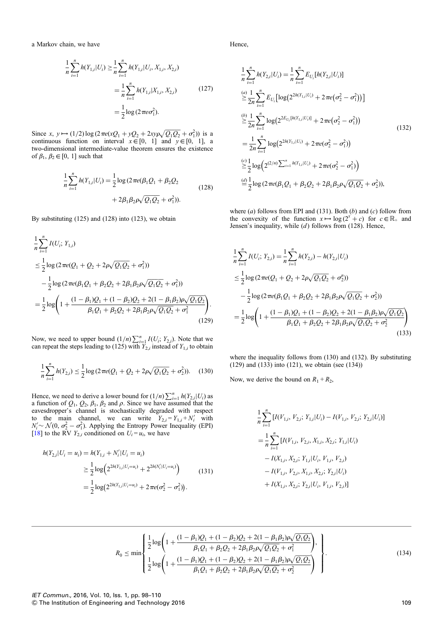a Markov chain, we have

$$
\frac{1}{n}\sum_{i=1}^{n} h(Y_{1,i}|U_i) \ge \frac{1}{n}\sum_{i=1}^{n} h(Y_{1,i}|U_i, X_{1,i}, X_{2,i})
$$

$$
= \frac{1}{n}\sum_{i=1}^{n} h(Y_{1,i}|X_{1,i}, X_{2,i})
$$
(127)
$$
= \frac{1}{2}\log(2\pi e \sigma_1^2).
$$

Since  $x, y \mapsto (1/2) \log (2\pi e(xQ_1 + yQ_2 + 2xy\rho \sqrt{Q_1Q_2} + \sigma_1^2))$  is a continuous function on interval  $x \in [0, 1]$  and  $y \in [0, 1]$ , a two-dimensional intermediate-value theorem ensures the existence of  $\beta_1, \beta_2 \in [0, 1]$  such that

$$
\frac{1}{n}\sum_{i=1}^{n} h(Y_{1,i}|U_i) = \frac{1}{2}\log(2\pi e(\beta_1 Q_1 + \beta_2 Q_2 + \sigma_1^2)) + 2\beta_1 \beta_2 \rho \sqrt{Q_1 Q_2} + \sigma_1^2).
$$
\n(128)

By substituting (125) and (128) into (123), we obtain

$$
\frac{1}{n}\sum_{i=1}^{n} I(U_i; Y_{1,i})
$$
\n
$$
\leq \frac{1}{2}\log(2\pi e(Q_1 + Q_2 + 2\rho\sqrt{Q_1Q_2} + \sigma_1^2))
$$
\n
$$
-\frac{1}{2}\log(2\pi e(\beta_1Q_1 + \beta_2Q_2 + 2\beta_1\beta_2\rho\sqrt{Q_1Q_2} + \sigma_1^2))
$$
\n
$$
=\frac{1}{2}\log\left(1 + \frac{(1 - \beta_1)Q_1 + (1 - \beta_2)Q_2 + 2(1 - \beta_1\beta_2)\rho\sqrt{Q_1Q_2}}{\beta_1Q_1 + \beta_2Q_2 + 2\beta_1\beta_2\rho\sqrt{Q_1Q_2} + \sigma_1^2}\right).
$$
\n(129)

Now, we need to upper bound  $(1/n) \sum_{i=1}^{n} I(U_i; Y_{2,i})$ . Note that we can repeat the steps leading to (125) with  $Y_{2,i}$  instead of  $Y_{1,i}$  to obtain

$$
\frac{1}{n}\sum_{i=1}^{n} h(Y_{2,i}) \le \frac{1}{2}\log\left(2\pi e(Q_1 + Q_2 + 2\rho\sqrt{Q_1Q_2} + \sigma_2^2)\right). \tag{130}
$$

Hence, we need to derive a lower bound for  $(1/n) \sum_{i=1}^{n} h(Y_{2,i}|U_i)$  as a function of  $Q_1$ ,  $Q_2$ ,  $\beta_1$ ,  $\beta_2$  and  $\rho$ . Since we have assumed that the eavesdropper's channel is stochastically degraded with respect to the main channel, we can write  $Y_{2,i} = Y_{1,i} + N'_i$  with  $N'_i \sim \mathcal{N}(0, \sigma_2^2 - \sigma_1^2)$ . Applying the Entropy Power Inequality (EPI) [18] to the RV  $Y_{2,i}$  conditioned on  $U_i = u_i$ , we have

$$
h(Y_{2,i}|U_i = u_i) = h(Y_{1,i} + N'_i | U_i = u_i)
$$
  
\n
$$
\geq \frac{1}{2} \log \left( 2^{2h(Y_{1,i}|U_i = u_i)} + 2^{2h(N'_i|U_i = u_i)} \right)
$$
  
\n
$$
= \frac{1}{2} \log \left( 2^{2h(Y_{1,i}|U_i = u_i)} + 2\pi e(\sigma_2^2 - \sigma_1^2) \right).
$$
\n(131)

Hence,

$$
\frac{1}{n}\sum_{i=1}^{n} h(Y_{2,i}|U_i) = \frac{1}{n}\sum_{i=1}^{n} E_{U_i}[h(Y_{2,i}|U_i)]
$$
\n
$$
\stackrel{(a)}{\geq} \frac{1}{2n}\sum_{i=1}^{n} E_{U_i}[\log(2^{2h(Y_{1,i}|U_i)} + 2\pi e(\sigma_2^2 - \sigma_1^2))]
$$
\n
$$
\stackrel{(b)}{\geq} \frac{1}{2n}\sum_{i=1}^{n} \log(2^{2E_{U_i}[h(Y_{1,i}|U_i)]} + 2\pi e(\sigma_2^2 - \sigma_1^2))
$$
\n
$$
= \frac{1}{2n}\sum_{i=1}^{n} \log(2^{2h(Y_{1,i}|U_i)} + 2\pi e(\sigma_2^2 - \sigma_1^2))
$$
\n
$$
\stackrel{(b)}{\geq} \frac{1}{2}\log(2^{(2/n)}\sum_{i=1}^{n} h(Y_{1,i}|U_i) + 2\pi e(\sigma_2^2 - \sigma_1^2))
$$
\n
$$
\stackrel{(d)}{=} \frac{1}{2}\log(2\pi e(\beta_1 Q_1 + \beta_2 Q_2 + 2\beta_1 \beta_2 \rho \sqrt{Q_1 Q_2} + \sigma_2^2)),
$$

where  $(a)$  follows from EPI and (131). Both  $(b)$  and  $(c)$  follow from the convexity of the function  $x \mapsto \log(2^x + c)$  for  $c \in \mathbb{R}_+$  and Jensen's inequality, while  $(d)$  follows from (128). Hence,

$$
\frac{1}{n}\sum_{i=1}^{n} I(U_i; Y_{2,i}) = \frac{1}{n}\sum_{i=1}^{n} h(Y_{2,i}) - h(Y_{2,i}|U_i)
$$
\n
$$
\leq \frac{1}{2}\log(2\pi e(Q_1 + Q_2 + 2\rho\sqrt{Q_1Q_2} + \sigma_2^p))
$$
\n
$$
-\frac{1}{2}\log(2\pi e(\beta_1 Q_1 + \beta_2 Q_2 + 2\beta_1 \beta_2 \rho\sqrt{Q_1Q_2} + \sigma_2^2))
$$
\n
$$
=\frac{1}{2}\log\left(1 + \frac{(1 - \beta_1)Q_1 + (1 - \beta_2)Q_2 + 2(1 - \beta_1 \beta_2)\rho\sqrt{Q_1Q_2}}{\beta_1 Q_1 + \beta_2 Q_2 + 2\beta_1 \beta_2 \rho\sqrt{Q_1Q_2} + \sigma_2^2}\right)
$$
\n(133)

where the inequality follows from (130) and (132). By substituting (129) and (133) into (121), we obtain (see (134))

Now, we derive the bound on  $R_1 + R_2$ ,

$$
\frac{1}{n}\sum_{i=1}^{n} \left[I(V_{1,i}, V_{2,i}; Y_{1,i}|U_i) - I(V_{1,i}, V_{2,i}; Y_{2,i}|U_i)\right]
$$
\n
$$
= \frac{1}{n}\sum_{i=1}^{n} \left[I(V_{1,i}, V_{2,i}, X_{1,i}, X_{2,i}; Y_{1,i}|U_i) - I(X_{1,i}, X_{2,i}; Y_{1,i}|U_i, V_{1,i}, V_{2,i}) - I(V_{1,i}, V_{2,i}, X_{1,i}, X_{2,i}; Y_{2,i}|U_i) + I(X_{1,i}, X_{2,i}; Y_{2,i}|U_i, V_{1,i}, V_{2,i})\right]
$$

$$
R_0 \le \min\left\{\frac{1}{2}\log\left(1 + \frac{(1 - \beta_1)Q_1 + (1 - \beta_2)Q_2 + 2(1 - \beta_1\beta_2)\rho\sqrt{Q_1Q_2}}{\beta_1Q_1 + \beta_2Q_2 + 2\beta_1\beta_2\rho\sqrt{Q_1Q_2} + \sigma_1^2}\right), \frac{1}{2}\log\left(1 + \frac{(1 - \beta_1)Q_1 + (1 - \beta_2)Q_2 + 2(1 - \beta_1\beta_2)\rho\sqrt{Q_1Q_2}}{\beta_1Q_1 + \beta_2Q_2 + 2\beta_1\beta_2\rho\sqrt{Q_1Q_2} + \sigma_2^2}\right)\right\}.
$$
(134)